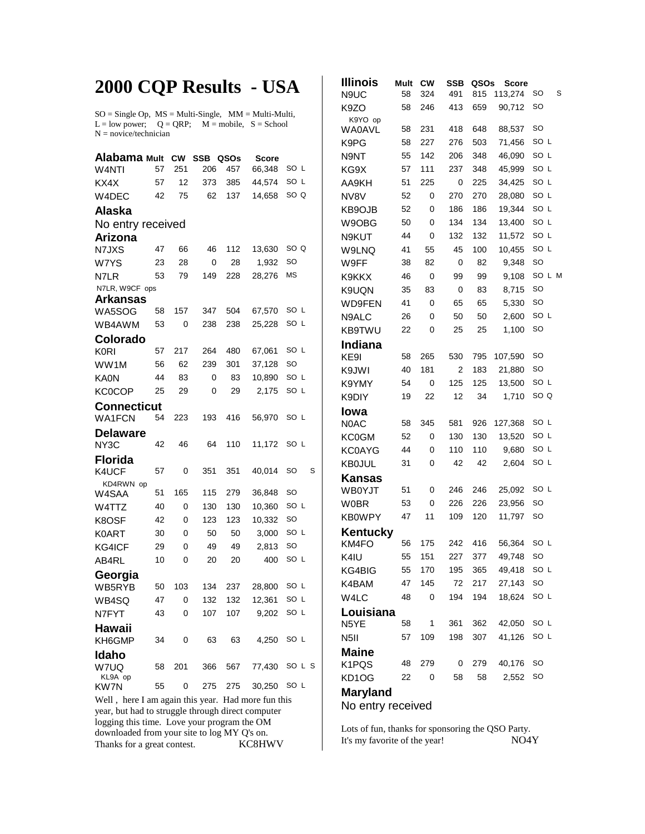## **2000 CQP Results - USA**

 $SO = Single Op$ ,  $MS = Multi-Single$ ,  $MM = Multi-Multi$ ,  $L = low power$ ;  $Q = QRP$ ;  $M = mobile$ ,  $S = School$  $N = novice/technician$ 

| Alabama <sub>Mult</sub> |    | <b>CW</b> | <b>SSB</b> | QSOs | <b>Score</b> |      |      |  |  |  |  |  |  |
|-------------------------|----|-----------|------------|------|--------------|------|------|--|--|--|--|--|--|
| W4NTI                   | 57 | 251       | 206        | 457  | 66,348       | SO L |      |  |  |  |  |  |  |
| KX4X                    | 57 | 12        | 373        | 385  | 44,574       | SO L |      |  |  |  |  |  |  |
| W4DEC                   | 42 | 75        | 62         | 137  | 14,658       | SO Q |      |  |  |  |  |  |  |
| <b>Alaska</b>           |    |           |            |      |              |      |      |  |  |  |  |  |  |
| No entry received       |    |           |            |      |              |      |      |  |  |  |  |  |  |
| Arizona                 |    |           |            |      |              |      |      |  |  |  |  |  |  |
| N7JXS                   | 47 | 66        | 46         | 112  | 13,630       | SO Q |      |  |  |  |  |  |  |
| W7YS                    | 23 | 28        | 0          | 28   | 1,932        | SO   |      |  |  |  |  |  |  |
| N7LR                    | 53 | 79        | 149        | 228  | 28,276       | MS   |      |  |  |  |  |  |  |
| N7LR, W9CF ops          |    |           |            |      |              |      |      |  |  |  |  |  |  |
| Arkansas<br>WA5SOG      | 58 | 157       | 347        | 504  | 67,570       | SO L |      |  |  |  |  |  |  |
| WB4AWM                  | 53 | 0         | 238        | 238  | 25,228       | SO L |      |  |  |  |  |  |  |
| Colorado                |    |           |            |      |              |      |      |  |  |  |  |  |  |
| <b>K0RI</b>             | 57 | 217       | 264        | 480  | 67,061       | SO L |      |  |  |  |  |  |  |
| WW1M                    | 56 | 62        | 239        | 301  | 37,128       | SO   |      |  |  |  |  |  |  |
| <b>KA0N</b>             | 44 | 83        | 0          | 83   | 10,890       | SO L |      |  |  |  |  |  |  |
| <b>KC0COP</b>           | 25 | 29        | 0          | 29   | 2,175        | SO L |      |  |  |  |  |  |  |
| Connecticut             |    |           |            |      |              |      |      |  |  |  |  |  |  |
| <b>WA1FCN</b>           | 54 | 223       | 193        | 416  | 56,970       | SO L |      |  |  |  |  |  |  |
| Delaware                |    |           |            |      |              |      |      |  |  |  |  |  |  |
| NY3C                    | 42 | 46        | 64         | 110  | 11,172       | SO L |      |  |  |  |  |  |  |
| <b>Florida</b>          |    |           |            |      |              |      |      |  |  |  |  |  |  |
| K4UCF                   | 57 | 0         | 351        | 351  | 40,014       | SO   | S    |  |  |  |  |  |  |
| KD4RWN op<br>W4SAA      | 51 | 165       | 115        | 279  | 36,848       | SO   |      |  |  |  |  |  |  |
| W4TTZ                   | 40 | 0         | 130        | 130  | 10,360       | SO L |      |  |  |  |  |  |  |
| K8OSF                   | 42 | 0         | 123        | 123  | 10,332       | SO   |      |  |  |  |  |  |  |
| K0ART                   | 30 | 0         | 50         | 50   | 3,000        | SO L |      |  |  |  |  |  |  |
| KG4ICF                  | 29 | 0         | 49         | 49   | 2,813        | SO   |      |  |  |  |  |  |  |
| AB4RL                   | 10 | 0         | 20         | 20   | 400          | SO L |      |  |  |  |  |  |  |
| Georgia                 |    |           |            |      |              |      |      |  |  |  |  |  |  |
| WB5RYB                  | 50 | 103       | 134        | 237  | 28,800       | SO L |      |  |  |  |  |  |  |
| WB4SQ                   | 47 | 0         | 132        | 132  | 12,361       | SO L |      |  |  |  |  |  |  |
| N7FYT                   | 43 | 0         | 107        | 107  | 9,202        | SO L |      |  |  |  |  |  |  |
| Hawaii<br>KH6GMP        | 34 | 0         | 63         | 63   | 4,250        | SO L |      |  |  |  |  |  |  |
| Idaho                   |    |           |            |      |              |      |      |  |  |  |  |  |  |
| W7UQ<br>KL9A op         | 58 | 201       | 366        | 567  | 77,430       |      | SOLS |  |  |  |  |  |  |
| KW7N                    | 55 | 0         | 275        | 275  | 30,250       | SO L |      |  |  |  |  |  |  |

Well , here I am again this year. Had more fun this year, but had to struggle through direct computer logging this time. Love your program the OM downloaded from your site to log MY Q's on. Thanks for a great contest. **KC8HWV** 

| S<br>113,274<br>SO<br>58<br>324<br>491<br>815<br>N9UC<br>SO<br>K9ZO<br>58<br>246<br>413<br>659<br>90,712<br>K9YO op<br>SO<br>58<br>231<br>418<br>648<br>88,537<br>WA0AVL<br>71.456<br>SO L<br>58<br>227<br>276<br>503<br>K9PG<br>SO L<br>46,090<br>142<br>206<br>348<br>N9NT<br>55<br>SO L<br>45,999<br>111<br>237<br>348<br>KG9X<br>57<br>SO L<br>51<br>225<br>0<br>225<br>34,425<br>AA9KH<br>SO L<br>28,080<br>NV8V<br>52<br>0<br>270<br>270<br>SO L<br>19,344<br>KB9OJB<br>0<br>186<br>186<br>52<br>SO L<br>13,400<br>W9OBG<br>50<br>0<br>134<br>134<br>11,572<br>SO L<br>44<br>0<br>132<br>132<br>N9KUT<br>SO L<br>100<br>10,455<br>41<br>55<br>45<br>W9LNQ<br>9,348<br>SO<br>W9FF<br>82<br>0<br>82<br>38<br>SO L M<br>9,108<br>46<br>0<br>99<br>99<br>K9KKX<br>SO<br>8,715<br>K9UQN<br>35<br>83<br>0<br>83<br>SO<br>5,330<br>WD9FEN<br>41<br>0<br>65<br>65<br>SO L<br>N9ALC<br>0<br>50<br>50<br>2,600<br>26<br>1,100<br>SO<br>KB9TWU<br>0<br>25<br>25<br>22<br>Indiana<br>KE9I<br>58<br>265<br>530<br>795<br>107,590<br>SO<br>SO<br>40<br>181<br>2<br>183<br>21,880<br>K9JWI<br>SO L<br>K9YMY<br>54<br>0<br>125<br>125<br>13,500<br>SO Q<br>22<br>12<br>34<br>1,710<br>K9DIY<br>19<br>Iowa<br>SO L<br>58<br>345<br>581<br>926<br>127,368<br>N0AC<br>0<br>SO L<br>130<br>130<br>13,520<br><b>KC0GM</b><br>52<br>0<br>9,680<br>SO L<br>KC0AYG<br>44<br>110<br>110<br>SO L<br>42<br>2,604<br>0<br>42<br><b>KB0JUL</b><br>31<br>Kansas<br>SO L<br>51<br>0<br>246<br>246<br>25,092<br><b>WB0YJT</b><br>0<br>23,956<br>SO<br><b>W0BR</b><br>53<br>226<br>226<br>11<br>11,797<br>SO<br>47<br>109<br>120<br><b>KB0WPY</b><br>Kentucky<br>SO L<br>56,364<br>KM4FO<br>56<br>175<br>242<br>416<br>SO<br>151<br>55<br>227<br>377<br>49,748<br>K4IU<br>SO L<br>55<br>170<br>49,418<br>KG4BIG<br>195<br>365<br>27,143<br>SO<br>47<br>145<br>72<br>217<br>K4BAM<br>SO L<br>0<br>194<br>194<br>18,624<br>W4LC<br>48<br>Louisiana |
|-----------------------------------------------------------------------------------------------------------------------------------------------------------------------------------------------------------------------------------------------------------------------------------------------------------------------------------------------------------------------------------------------------------------------------------------------------------------------------------------------------------------------------------------------------------------------------------------------------------------------------------------------------------------------------------------------------------------------------------------------------------------------------------------------------------------------------------------------------------------------------------------------------------------------------------------------------------------------------------------------------------------------------------------------------------------------------------------------------------------------------------------------------------------------------------------------------------------------------------------------------------------------------------------------------------------------------------------------------------------------------------------------------------------------------------------------------------------------------------------------------------------------------------------------------------------------------------------------------------------------------------------------------------------------------------------------------------------------------------------------------------------------------------------------------------------------------------------------------------------------------------------------------------------------|
|                                                                                                                                                                                                                                                                                                                                                                                                                                                                                                                                                                                                                                                                                                                                                                                                                                                                                                                                                                                                                                                                                                                                                                                                                                                                                                                                                                                                                                                                                                                                                                                                                                                                                                                                                                                                                                                                                                                       |
|                                                                                                                                                                                                                                                                                                                                                                                                                                                                                                                                                                                                                                                                                                                                                                                                                                                                                                                                                                                                                                                                                                                                                                                                                                                                                                                                                                                                                                                                                                                                                                                                                                                                                                                                                                                                                                                                                                                       |
|                                                                                                                                                                                                                                                                                                                                                                                                                                                                                                                                                                                                                                                                                                                                                                                                                                                                                                                                                                                                                                                                                                                                                                                                                                                                                                                                                                                                                                                                                                                                                                                                                                                                                                                                                                                                                                                                                                                       |
|                                                                                                                                                                                                                                                                                                                                                                                                                                                                                                                                                                                                                                                                                                                                                                                                                                                                                                                                                                                                                                                                                                                                                                                                                                                                                                                                                                                                                                                                                                                                                                                                                                                                                                                                                                                                                                                                                                                       |
|                                                                                                                                                                                                                                                                                                                                                                                                                                                                                                                                                                                                                                                                                                                                                                                                                                                                                                                                                                                                                                                                                                                                                                                                                                                                                                                                                                                                                                                                                                                                                                                                                                                                                                                                                                                                                                                                                                                       |
|                                                                                                                                                                                                                                                                                                                                                                                                                                                                                                                                                                                                                                                                                                                                                                                                                                                                                                                                                                                                                                                                                                                                                                                                                                                                                                                                                                                                                                                                                                                                                                                                                                                                                                                                                                                                                                                                                                                       |
|                                                                                                                                                                                                                                                                                                                                                                                                                                                                                                                                                                                                                                                                                                                                                                                                                                                                                                                                                                                                                                                                                                                                                                                                                                                                                                                                                                                                                                                                                                                                                                                                                                                                                                                                                                                                                                                                                                                       |
|                                                                                                                                                                                                                                                                                                                                                                                                                                                                                                                                                                                                                                                                                                                                                                                                                                                                                                                                                                                                                                                                                                                                                                                                                                                                                                                                                                                                                                                                                                                                                                                                                                                                                                                                                                                                                                                                                                                       |
|                                                                                                                                                                                                                                                                                                                                                                                                                                                                                                                                                                                                                                                                                                                                                                                                                                                                                                                                                                                                                                                                                                                                                                                                                                                                                                                                                                                                                                                                                                                                                                                                                                                                                                                                                                                                                                                                                                                       |
|                                                                                                                                                                                                                                                                                                                                                                                                                                                                                                                                                                                                                                                                                                                                                                                                                                                                                                                                                                                                                                                                                                                                                                                                                                                                                                                                                                                                                                                                                                                                                                                                                                                                                                                                                                                                                                                                                                                       |
|                                                                                                                                                                                                                                                                                                                                                                                                                                                                                                                                                                                                                                                                                                                                                                                                                                                                                                                                                                                                                                                                                                                                                                                                                                                                                                                                                                                                                                                                                                                                                                                                                                                                                                                                                                                                                                                                                                                       |
|                                                                                                                                                                                                                                                                                                                                                                                                                                                                                                                                                                                                                                                                                                                                                                                                                                                                                                                                                                                                                                                                                                                                                                                                                                                                                                                                                                                                                                                                                                                                                                                                                                                                                                                                                                                                                                                                                                                       |
|                                                                                                                                                                                                                                                                                                                                                                                                                                                                                                                                                                                                                                                                                                                                                                                                                                                                                                                                                                                                                                                                                                                                                                                                                                                                                                                                                                                                                                                                                                                                                                                                                                                                                                                                                                                                                                                                                                                       |
|                                                                                                                                                                                                                                                                                                                                                                                                                                                                                                                                                                                                                                                                                                                                                                                                                                                                                                                                                                                                                                                                                                                                                                                                                                                                                                                                                                                                                                                                                                                                                                                                                                                                                                                                                                                                                                                                                                                       |
|                                                                                                                                                                                                                                                                                                                                                                                                                                                                                                                                                                                                                                                                                                                                                                                                                                                                                                                                                                                                                                                                                                                                                                                                                                                                                                                                                                                                                                                                                                                                                                                                                                                                                                                                                                                                                                                                                                                       |
|                                                                                                                                                                                                                                                                                                                                                                                                                                                                                                                                                                                                                                                                                                                                                                                                                                                                                                                                                                                                                                                                                                                                                                                                                                                                                                                                                                                                                                                                                                                                                                                                                                                                                                                                                                                                                                                                                                                       |
|                                                                                                                                                                                                                                                                                                                                                                                                                                                                                                                                                                                                                                                                                                                                                                                                                                                                                                                                                                                                                                                                                                                                                                                                                                                                                                                                                                                                                                                                                                                                                                                                                                                                                                                                                                                                                                                                                                                       |
|                                                                                                                                                                                                                                                                                                                                                                                                                                                                                                                                                                                                                                                                                                                                                                                                                                                                                                                                                                                                                                                                                                                                                                                                                                                                                                                                                                                                                                                                                                                                                                                                                                                                                                                                                                                                                                                                                                                       |
|                                                                                                                                                                                                                                                                                                                                                                                                                                                                                                                                                                                                                                                                                                                                                                                                                                                                                                                                                                                                                                                                                                                                                                                                                                                                                                                                                                                                                                                                                                                                                                                                                                                                                                                                                                                                                                                                                                                       |
|                                                                                                                                                                                                                                                                                                                                                                                                                                                                                                                                                                                                                                                                                                                                                                                                                                                                                                                                                                                                                                                                                                                                                                                                                                                                                                                                                                                                                                                                                                                                                                                                                                                                                                                                                                                                                                                                                                                       |
|                                                                                                                                                                                                                                                                                                                                                                                                                                                                                                                                                                                                                                                                                                                                                                                                                                                                                                                                                                                                                                                                                                                                                                                                                                                                                                                                                                                                                                                                                                                                                                                                                                                                                                                                                                                                                                                                                                                       |
|                                                                                                                                                                                                                                                                                                                                                                                                                                                                                                                                                                                                                                                                                                                                                                                                                                                                                                                                                                                                                                                                                                                                                                                                                                                                                                                                                                                                                                                                                                                                                                                                                                                                                                                                                                                                                                                                                                                       |
|                                                                                                                                                                                                                                                                                                                                                                                                                                                                                                                                                                                                                                                                                                                                                                                                                                                                                                                                                                                                                                                                                                                                                                                                                                                                                                                                                                                                                                                                                                                                                                                                                                                                                                                                                                                                                                                                                                                       |
|                                                                                                                                                                                                                                                                                                                                                                                                                                                                                                                                                                                                                                                                                                                                                                                                                                                                                                                                                                                                                                                                                                                                                                                                                                                                                                                                                                                                                                                                                                                                                                                                                                                                                                                                                                                                                                                                                                                       |
|                                                                                                                                                                                                                                                                                                                                                                                                                                                                                                                                                                                                                                                                                                                                                                                                                                                                                                                                                                                                                                                                                                                                                                                                                                                                                                                                                                                                                                                                                                                                                                                                                                                                                                                                                                                                                                                                                                                       |
|                                                                                                                                                                                                                                                                                                                                                                                                                                                                                                                                                                                                                                                                                                                                                                                                                                                                                                                                                                                                                                                                                                                                                                                                                                                                                                                                                                                                                                                                                                                                                                                                                                                                                                                                                                                                                                                                                                                       |
|                                                                                                                                                                                                                                                                                                                                                                                                                                                                                                                                                                                                                                                                                                                                                                                                                                                                                                                                                                                                                                                                                                                                                                                                                                                                                                                                                                                                                                                                                                                                                                                                                                                                                                                                                                                                                                                                                                                       |
|                                                                                                                                                                                                                                                                                                                                                                                                                                                                                                                                                                                                                                                                                                                                                                                                                                                                                                                                                                                                                                                                                                                                                                                                                                                                                                                                                                                                                                                                                                                                                                                                                                                                                                                                                                                                                                                                                                                       |
|                                                                                                                                                                                                                                                                                                                                                                                                                                                                                                                                                                                                                                                                                                                                                                                                                                                                                                                                                                                                                                                                                                                                                                                                                                                                                                                                                                                                                                                                                                                                                                                                                                                                                                                                                                                                                                                                                                                       |
|                                                                                                                                                                                                                                                                                                                                                                                                                                                                                                                                                                                                                                                                                                                                                                                                                                                                                                                                                                                                                                                                                                                                                                                                                                                                                                                                                                                                                                                                                                                                                                                                                                                                                                                                                                                                                                                                                                                       |
|                                                                                                                                                                                                                                                                                                                                                                                                                                                                                                                                                                                                                                                                                                                                                                                                                                                                                                                                                                                                                                                                                                                                                                                                                                                                                                                                                                                                                                                                                                                                                                                                                                                                                                                                                                                                                                                                                                                       |
|                                                                                                                                                                                                                                                                                                                                                                                                                                                                                                                                                                                                                                                                                                                                                                                                                                                                                                                                                                                                                                                                                                                                                                                                                                                                                                                                                                                                                                                                                                                                                                                                                                                                                                                                                                                                                                                                                                                       |
|                                                                                                                                                                                                                                                                                                                                                                                                                                                                                                                                                                                                                                                                                                                                                                                                                                                                                                                                                                                                                                                                                                                                                                                                                                                                                                                                                                                                                                                                                                                                                                                                                                                                                                                                                                                                                                                                                                                       |
|                                                                                                                                                                                                                                                                                                                                                                                                                                                                                                                                                                                                                                                                                                                                                                                                                                                                                                                                                                                                                                                                                                                                                                                                                                                                                                                                                                                                                                                                                                                                                                                                                                                                                                                                                                                                                                                                                                                       |
|                                                                                                                                                                                                                                                                                                                                                                                                                                                                                                                                                                                                                                                                                                                                                                                                                                                                                                                                                                                                                                                                                                                                                                                                                                                                                                                                                                                                                                                                                                                                                                                                                                                                                                                                                                                                                                                                                                                       |
|                                                                                                                                                                                                                                                                                                                                                                                                                                                                                                                                                                                                                                                                                                                                                                                                                                                                                                                                                                                                                                                                                                                                                                                                                                                                                                                                                                                                                                                                                                                                                                                                                                                                                                                                                                                                                                                                                                                       |
|                                                                                                                                                                                                                                                                                                                                                                                                                                                                                                                                                                                                                                                                                                                                                                                                                                                                                                                                                                                                                                                                                                                                                                                                                                                                                                                                                                                                                                                                                                                                                                                                                                                                                                                                                                                                                                                                                                                       |
|                                                                                                                                                                                                                                                                                                                                                                                                                                                                                                                                                                                                                                                                                                                                                                                                                                                                                                                                                                                                                                                                                                                                                                                                                                                                                                                                                                                                                                                                                                                                                                                                                                                                                                                                                                                                                                                                                                                       |
|                                                                                                                                                                                                                                                                                                                                                                                                                                                                                                                                                                                                                                                                                                                                                                                                                                                                                                                                                                                                                                                                                                                                                                                                                                                                                                                                                                                                                                                                                                                                                                                                                                                                                                                                                                                                                                                                                                                       |
| 1<br>42,050<br>SO L<br>N5YE<br>58<br>361<br>362                                                                                                                                                                                                                                                                                                                                                                                                                                                                                                                                                                                                                                                                                                                                                                                                                                                                                                                                                                                                                                                                                                                                                                                                                                                                                                                                                                                                                                                                                                                                                                                                                                                                                                                                                                                                                                                                       |
| SO L<br>41,126<br>57<br>109<br>198<br>307<br>N <sub>5</sub> II                                                                                                                                                                                                                                                                                                                                                                                                                                                                                                                                                                                                                                                                                                                                                                                                                                                                                                                                                                                                                                                                                                                                                                                                                                                                                                                                                                                                                                                                                                                                                                                                                                                                                                                                                                                                                                                        |
| <b>Maine</b>                                                                                                                                                                                                                                                                                                                                                                                                                                                                                                                                                                                                                                                                                                                                                                                                                                                                                                                                                                                                                                                                                                                                                                                                                                                                                                                                                                                                                                                                                                                                                                                                                                                                                                                                                                                                                                                                                                          |
| 279<br>279<br>40,176<br>SO<br>K1PQS<br>48<br>0                                                                                                                                                                                                                                                                                                                                                                                                                                                                                                                                                                                                                                                                                                                                                                                                                                                                                                                                                                                                                                                                                                                                                                                                                                                                                                                                                                                                                                                                                                                                                                                                                                                                                                                                                                                                                                                                        |
| SO<br>KD1OG<br>0<br>58<br>58<br>2,552<br>22                                                                                                                                                                                                                                                                                                                                                                                                                                                                                                                                                                                                                                                                                                                                                                                                                                                                                                                                                                                                                                                                                                                                                                                                                                                                                                                                                                                                                                                                                                                                                                                                                                                                                                                                                                                                                                                                           |
| <b>Maryland</b><br>No entry received                                                                                                                                                                                                                                                                                                                                                                                                                                                                                                                                                                                                                                                                                                                                                                                                                                                                                                                                                                                                                                                                                                                                                                                                                                                                                                                                                                                                                                                                                                                                                                                                                                                                                                                                                                                                                                                                                  |

Lots of fun, thanks for sponsoring the QSO Party. It's my favorite of the year! NO4Y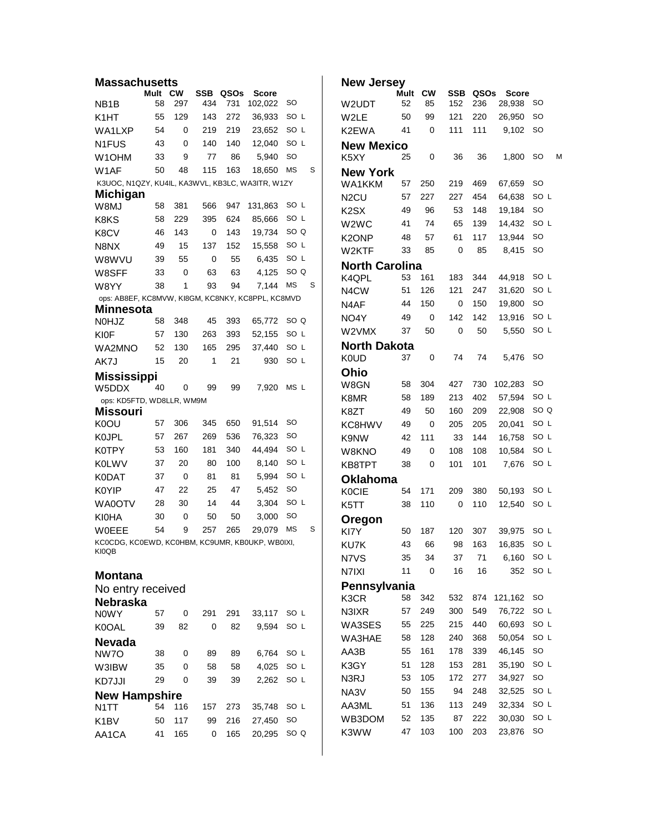| Massachusetts                                                         |                                                                                      |           |     |      |         |                 |   |  |  |  |  |
|-----------------------------------------------------------------------|--------------------------------------------------------------------------------------|-----------|-----|------|---------|-----------------|---|--|--|--|--|
|                                                                       | Mult                                                                                 | <b>CW</b> | SSB | QSOs | Score   |                 |   |  |  |  |  |
| NB <sub>1</sub> B                                                     | 58                                                                                   | 297       | 434 | 731  | 102,022 | SO              |   |  |  |  |  |
| K1HT                                                                  | 55                                                                                   | 129       | 143 | 272  | 36,933  | SO L            |   |  |  |  |  |
| WA1LXP                                                                | 54                                                                                   | 0         | 219 | 219  | 23,652  | SO L            |   |  |  |  |  |
| N <sub>1</sub> FUS                                                    | 43                                                                                   | 0         | 140 | 140  | 12,040  | SO L            |   |  |  |  |  |
| W <sub>1</sub> OHM                                                    | 33                                                                                   | 9         | 77  | 86   | 5,940   | SO<br><b>MS</b> | S |  |  |  |  |
| W1AF                                                                  | 50<br>115<br>163<br>48<br>18,650<br>K3UOC, N1QZY, KU4IL, KA3WVL, KB3LC, WA3ITR, W1ZY |           |     |      |         |                 |   |  |  |  |  |
|                                                                       |                                                                                      |           |     |      |         |                 |   |  |  |  |  |
| <b>Michigan</b><br>W8MJ                                               | 58                                                                                   | 381       | 566 | 947  | 131,863 | SO L            |   |  |  |  |  |
| K <sub>8</sub> K <sub>S</sub>                                         | 58                                                                                   | 229       | 395 | 624  | 85,666  | SO L            |   |  |  |  |  |
|                                                                       | 46                                                                                   | 143       | 0   | 143  | 19,734  | SO Q            |   |  |  |  |  |
| K8CV                                                                  |                                                                                      |           |     |      |         | SO L            |   |  |  |  |  |
| N8NX                                                                  | 49                                                                                   | 15        | 137 | 152  | 15,558  |                 |   |  |  |  |  |
| W8WVU                                                                 | 39                                                                                   | 55        | 0   | 55   | 6,435   | SO L            |   |  |  |  |  |
| W8SFF                                                                 | 33                                                                                   | 0         | 63  | 63   | 4,125   | SO Q            |   |  |  |  |  |
| W8YY                                                                  | 38                                                                                   | 1         | 93  | 94   | 7,144   | <b>MS</b>       | S |  |  |  |  |
| ops: AB8EF, KC8MVW, KI8GM, KC8NKY, KC8PPL, KC8MVD<br><b>Minnesota</b> |                                                                                      |           |     |      |         |                 |   |  |  |  |  |
| N0HJZ                                                                 | 58                                                                                   | 348       | 45  | 393  | 65,772  | SO Q            |   |  |  |  |  |
| <b>KI0F</b>                                                           | 57                                                                                   | 130       | 263 | 393  | 52,155  | SO L            |   |  |  |  |  |
|                                                                       | 52                                                                                   | 130       | 165 | 295  | 37.440  | SO L            |   |  |  |  |  |
| WA2MNO                                                                |                                                                                      | 20        | 1   |      |         | SO L            |   |  |  |  |  |
| AK7J                                                                  | 15                                                                                   |           |     | 21   | 930     |                 |   |  |  |  |  |
| <b>Mississippi</b>                                                    |                                                                                      |           |     |      |         |                 |   |  |  |  |  |
| W5DDX                                                                 | 40                                                                                   | 0         | 99  | 99   | 7,920   | MS L            |   |  |  |  |  |
| ops: KD5FTD, WD8LLR, WM9M<br><b>Missouri</b>                          |                                                                                      |           |     |      |         |                 |   |  |  |  |  |
| K0OU                                                                  | 57                                                                                   | 306       | 345 | 650  | 91,514  | SO              |   |  |  |  |  |
| <b>KOJPL</b>                                                          | 57                                                                                   | 267       | 269 | 536  | 76,323  | SO              |   |  |  |  |  |
| K0TPY                                                                 | 53                                                                                   | 160       | 181 | 340  | 44,494  | SO L            |   |  |  |  |  |
| <b>KOLWV</b>                                                          | 37                                                                                   | 20        | 80  | 100  | 8,140   | SO L            |   |  |  |  |  |
|                                                                       | 37                                                                                   | 0         | 81  | 81   | 5,994   | SO L            |   |  |  |  |  |
| K0DAT                                                                 | 47                                                                                   |           |     | 47   |         | SO              |   |  |  |  |  |
| K0YIP                                                                 |                                                                                      | 22        | 25  |      | 5,452   |                 |   |  |  |  |  |
| WA0OTV                                                                | 28                                                                                   | 30        | 14  | 44   | 3,304   | SO L            |   |  |  |  |  |
| <b>KI0HA</b>                                                          | 30                                                                                   | 0         | 50  | 50   | 3,000   | SO              |   |  |  |  |  |
| <b>WOEEE</b>                                                          | 54                                                                                   | 9         | 257 | 265  | 29.079  | <b>MS</b>       | S |  |  |  |  |
| KCOCDG, KCOEWD, KCOHBM, KC9UMR, KBOUKP, WBOIXI,<br>KI0QB              |                                                                                      |           |     |      |         |                 |   |  |  |  |  |
| Montana                                                               |                                                                                      |           |     |      |         |                 |   |  |  |  |  |
| No entry received                                                     |                                                                                      |           |     |      |         |                 |   |  |  |  |  |
| Nebraska                                                              |                                                                                      |           |     |      |         |                 |   |  |  |  |  |
| <b>NOWY</b>                                                           | 57                                                                                   | 0         | 291 | 291  | 33,117  | SO L            |   |  |  |  |  |
| K0OAL                                                                 | 39                                                                                   | 82        | 0   | 82   | 9,594   | SO L            |   |  |  |  |  |
| Nevada                                                                |                                                                                      |           |     |      |         |                 |   |  |  |  |  |
| NW7O                                                                  | 38                                                                                   | 0         | 89  | 89   | 6,764   | SO L            |   |  |  |  |  |
| W3IBW                                                                 | 35                                                                                   | 0         | 58  | 58   | 4,025   | SO L            |   |  |  |  |  |
| KD7JJI                                                                | 29                                                                                   | 0         | 39  | 39   | 2,262   | SO L            |   |  |  |  |  |
|                                                                       |                                                                                      |           |     |      |         |                 |   |  |  |  |  |
| <b>New Hampshire</b>                                                  | 54                                                                                   | 116       |     | 273  | 35,748  | SO L            |   |  |  |  |  |
| N1TT                                                                  |                                                                                      |           | 157 |      |         |                 |   |  |  |  |  |
| K <sub>1</sub> BV                                                     | 50                                                                                   | 117       | 99  | 216  | 27,450  | SO              |   |  |  |  |  |
| AA1CA                                                                 | 41                                                                                   | 165       | 0   | 165  | 20,295  | SO Q            |   |  |  |  |  |
|                                                                       |                                                                                      |           |     |      |         |                 |   |  |  |  |  |

| <b>New Jersey</b>     |            |          |            |             |                 |      |  |   |  |  |  |  |
|-----------------------|------------|----------|------------|-------------|-----------------|------|--|---|--|--|--|--|
| W2UDT                 | Mult<br>52 | CW<br>85 | SSB<br>152 | QSOs<br>236 | Score<br>28,938 | SO   |  |   |  |  |  |  |
| W2LE                  | 50         | 99       | 121        | 220         | 26,950          | SO   |  |   |  |  |  |  |
| K2EWA                 | 41         | 0        | 111        | 111         | 9,102           | SO   |  |   |  |  |  |  |
| <b>New Mexico</b>     |            |          |            |             |                 |      |  |   |  |  |  |  |
| K5XY                  | 25         | 0        | 36         | 36          | 1,800           | SO   |  | М |  |  |  |  |
| <b>New York</b>       |            |          |            |             |                 |      |  |   |  |  |  |  |
| WA1KKM                | 57         | 250      | 219        | 469         | 67,659          | SO   |  |   |  |  |  |  |
| N <sub>2</sub> CU     | 57         | 227      | 227        | 454         | 64,638          | SO L |  |   |  |  |  |  |
| K <sub>2</sub> SX     | 49         | 96       | 53         | 148         | 19,184          | SO   |  |   |  |  |  |  |
| W2WC                  | 41         | 74       | 65         | 139         | 14,432          | SO L |  |   |  |  |  |  |
| K2ONP                 | 48         | 57       | 61         | 117         | 13,944          | SO   |  |   |  |  |  |  |
| W2KTF                 | 33         | 85       | 0          | 85          | 8,415           | SO   |  |   |  |  |  |  |
| <b>North Carolina</b> |            |          |            |             |                 |      |  |   |  |  |  |  |
| K4QPL                 | 53         | 161      | 183        | 344         | 44,918          | SO L |  |   |  |  |  |  |
| N <sub>4</sub> CW     | 51         | 126      | 121        | 247         | 31,620          | SO L |  |   |  |  |  |  |
| N <sub>4</sub> AF     | 44         | 150      | 0          | 150         | 19,800          | SO   |  |   |  |  |  |  |
| NO4Y                  | 49         | 0        | 142        | 142         | 13,916          | SO L |  |   |  |  |  |  |
| W2VMX                 | 37         | 50       | 0          | 50          | 5,550           | SO L |  |   |  |  |  |  |
| <b>North Dakota</b>   |            |          |            |             |                 |      |  |   |  |  |  |  |
| <b>K0UD</b>           | 37         | 0        | 74         | 74          | 5,476           | SO   |  |   |  |  |  |  |
| Ohio                  |            |          |            |             |                 |      |  |   |  |  |  |  |
| W8GN                  | 58         | 304      | 427        | 730         | 102,283         | SO   |  |   |  |  |  |  |
| K8MR                  | 58         | 189      | 213        | 402         | 57,594          | SO L |  |   |  |  |  |  |
| K8ZT                  | 49         | 50       | 160        | 209         | 22,908          | SO Q |  |   |  |  |  |  |
| KC8HWV                | 49         | 0        | 205        | 205         | 20,041          | SO L |  |   |  |  |  |  |
| K9NW                  | 42         | 111      | 33         | 144         | 16,758          | SO L |  |   |  |  |  |  |
| W8KNO                 | 49         | 0        | 108        | 108         | 10,584          | SO L |  |   |  |  |  |  |
| KB8TPT                | 38         | 0        | 101        | 101         | 7,676           | SO L |  |   |  |  |  |  |
| <b>Oklahoma</b>       |            |          |            |             |                 |      |  |   |  |  |  |  |
| <b>K0CIE</b>          | 54         | 171      | 209        | 380         | 50,193          | SO L |  |   |  |  |  |  |
| K5TT                  | 38         | 110      | 0          | 110         | 12,540          | SO L |  |   |  |  |  |  |
| Oregon                |            |          |            |             |                 |      |  |   |  |  |  |  |
| KI7Y                  | 50         | 187      | 120        | 307         | 39,975          | SO L |  |   |  |  |  |  |
| KU7K                  | 43         | 66       | 98         | 163         | 16,835          | SO L |  |   |  |  |  |  |
| N7VS                  | 35         | 34       | 37         | 71          | 6,160           | SO L |  |   |  |  |  |  |
| N7IXI                 | 11         | 0        | 16         | 16          | 352             | SO L |  |   |  |  |  |  |
| Pennsylvania          |            |          |            |             |                 |      |  |   |  |  |  |  |
| K3CR                  | 58         | 342      | 532        | 874         | 121,162         | SO   |  |   |  |  |  |  |
| N3IXR                 | 57         | 249      | 300        | 549         | 76,722          | SO L |  |   |  |  |  |  |
| WA3SES                | 55         | 225      | 215        | 440         | 60,693          | SO L |  |   |  |  |  |  |
| WA3HAE                | 58         | 128      | 240        | 368         | 50,054          | SO L |  |   |  |  |  |  |
| AA3B                  | 55         | 161      | 178        | 339         | 46,145          | SO   |  |   |  |  |  |  |
| K3GY                  | 51         | 128      | 153        | 281         | 35,190          | SO L |  |   |  |  |  |  |
| N3RJ                  | 53         | 105      | 172        | 277         | 34,927          | SO   |  |   |  |  |  |  |
| NA3V                  | 50         | 155      | 94         | 248         | 32,525          | SO L |  |   |  |  |  |  |
| AA3ML                 | 51         | 136      | 113        | 249         | 32,334          | SO L |  |   |  |  |  |  |
| WB3DOM                | 52         | 135      | 87         | 222         | 30,030          | SO L |  |   |  |  |  |  |
| K3WW                  | 47         | 103      | 100        | 203         | 23,876          | SO   |  |   |  |  |  |  |
|                       |            |          |            |             |                 |      |  |   |  |  |  |  |